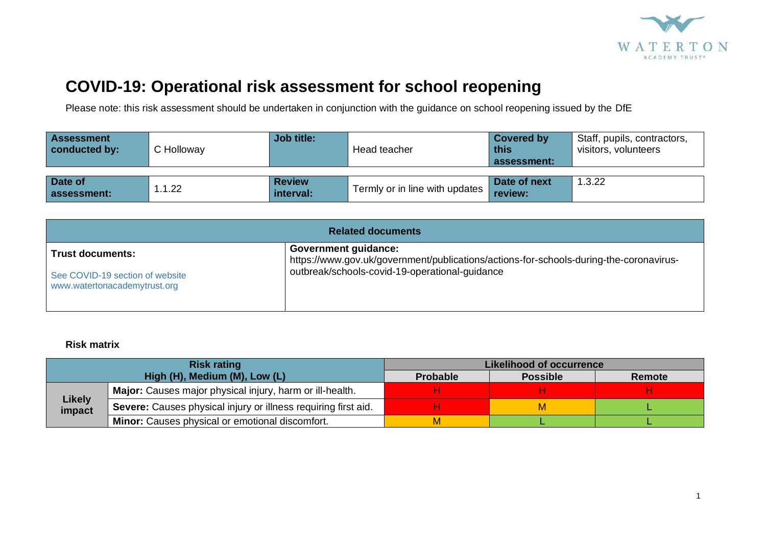

## **COVID-19: Operational risk assessment for school reopening**

Please note: this risk assessment should be undertaken in conjunction with the guidance on school reopening issued by the DfE

| <b>Assessment</b><br>conducted by: | C Holloway | Job title:                 | Head teacher                   | <b>Covered by</b><br>this<br>assessment: | Staff, pupils, contractors,<br>visitors, volunteers |
|------------------------------------|------------|----------------------------|--------------------------------|------------------------------------------|-----------------------------------------------------|
| Date of<br>assessment:             | .1.22      | <b>Review</b><br>interval: | Termly or in line with updates | Date of next<br>review:                  | 1.3.22                                              |

| <b>Related documents</b>                                        |                                                                                                                       |  |  |  |  |  |
|-----------------------------------------------------------------|-----------------------------------------------------------------------------------------------------------------------|--|--|--|--|--|
| <b>Trust documents:</b>                                         | <b>Government guidance:</b><br>https://www.gov.uk/government/publications/actions-for-schools-during-the-coronavirus- |  |  |  |  |  |
| See COVID-19 section of website<br>www.watertonacademytrust.org | outbreak/schools-covid-19-operational-guidance                                                                        |  |  |  |  |  |

## **Risk matrix**

|                         | <b>Risk rating</b>                                             | <b>Likelihood of occurrence</b> |                 |        |  |
|-------------------------|----------------------------------------------------------------|---------------------------------|-----------------|--------|--|
|                         | High (H), Medium (M), Low (L)                                  | <b>Probable</b>                 | <b>Possible</b> | Remote |  |
|                         | Major: Causes major physical injury, harm or ill-health.       |                                 |                 |        |  |
| <b>Likely</b><br>impact | Severe: Causes physical injury or illness requiring first aid. |                                 | M               |        |  |
|                         | <b>Minor:</b> Causes physical or emotional discomfort.         |                                 |                 |        |  |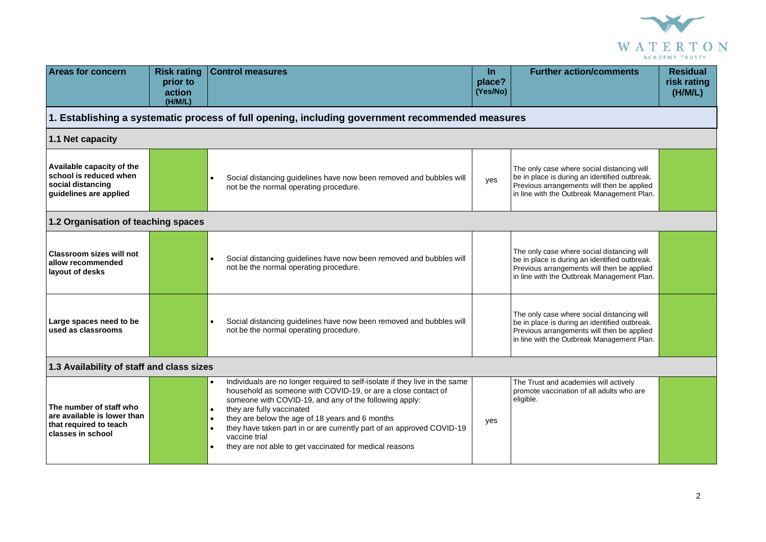

| <b>Areas for concern</b>                                                                              | <b>Risk rating</b><br>prior to<br>action<br>(H/M/L) | <b>Control measures</b>                                                                                                                                                                                                                                                                                                                                                                                                                                                                         | $\ln$<br>place?<br>(Yes/No) | <b>Further action/comments</b>                                                                                                                                                          | <b>Residual</b><br>risk rating<br>(H/M/L) |
|-------------------------------------------------------------------------------------------------------|-----------------------------------------------------|-------------------------------------------------------------------------------------------------------------------------------------------------------------------------------------------------------------------------------------------------------------------------------------------------------------------------------------------------------------------------------------------------------------------------------------------------------------------------------------------------|-----------------------------|-----------------------------------------------------------------------------------------------------------------------------------------------------------------------------------------|-------------------------------------------|
|                                                                                                       |                                                     | 1. Establishing a systematic process of full opening, including government recommended measures                                                                                                                                                                                                                                                                                                                                                                                                 |                             |                                                                                                                                                                                         |                                           |
| 1.1 Net capacity                                                                                      |                                                     |                                                                                                                                                                                                                                                                                                                                                                                                                                                                                                 |                             |                                                                                                                                                                                         |                                           |
| Available capacity of the<br>school is reduced when<br>social distancing<br>guidelines are applied    |                                                     | Social distancing guidelines have now been removed and bubbles will<br>not be the normal operating procedure.                                                                                                                                                                                                                                                                                                                                                                                   | yes                         | The only case where social distancing will<br>be in place is during an identified outbreak.<br>Previous arrangements will then be applied<br>in line with the Outbreak Management Plan. |                                           |
| 1.2 Organisation of teaching spaces                                                                   |                                                     |                                                                                                                                                                                                                                                                                                                                                                                                                                                                                                 |                             |                                                                                                                                                                                         |                                           |
| <b>Classroom sizes will not</b><br>allow recommended<br>layout of desks                               |                                                     | Social distancing guidelines have now been removed and bubbles will<br>not be the normal operating procedure.                                                                                                                                                                                                                                                                                                                                                                                   |                             | The only case where social distancing will<br>be in place is during an identified outbreak.<br>Previous arrangements will then be applied<br>in line with the Outbreak Management Plan. |                                           |
| Large spaces need to be<br>used as classrooms                                                         |                                                     | Social distancing guidelines have now been removed and bubbles will<br>not be the normal operating procedure.                                                                                                                                                                                                                                                                                                                                                                                   |                             | The only case where social distancing will<br>be in place is during an identified outbreak.<br>Previous arrangements will then be applied<br>in line with the Outbreak Management Plan. |                                           |
| 1.3 Availability of staff and class sizes                                                             |                                                     |                                                                                                                                                                                                                                                                                                                                                                                                                                                                                                 |                             |                                                                                                                                                                                         |                                           |
| The number of staff who<br>are available is lower than<br>that required to teach<br>classes in school |                                                     | Individuals are no longer required to self-isolate if they live in the same<br>household as someone with COVID-19, or are a close contact of<br>someone with COVID-19, and any of the following apply:<br>they are fully vaccinated<br>$\bullet$<br>they are below the age of 18 years and 6 months<br>$\bullet$<br>they have taken part in or are currently part of an approved COVID-19<br>$\bullet$<br>vaccine trial<br>they are not able to get vaccinated for medical reasons<br>$\bullet$ | yes                         | The Trust and academies will actively<br>promote vaccination of all adults who are<br>eligible.                                                                                         |                                           |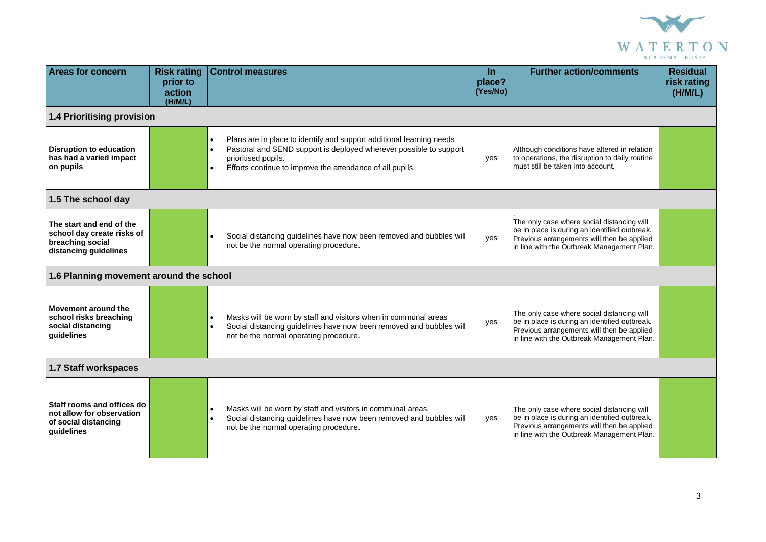

| <b>Areas for concern</b>                                                                            | <b>Risk rating</b><br>prior to<br>action<br>(H/M/L) | <b>Control measures</b>                                                                                                                                                                                                                     | <b>In</b><br>place?<br>(Yes/No) | <b>Further action/comments</b>                                                                                                                                                          | <b>Residual</b><br>risk rating<br>(H/M/L) |  |
|-----------------------------------------------------------------------------------------------------|-----------------------------------------------------|---------------------------------------------------------------------------------------------------------------------------------------------------------------------------------------------------------------------------------------------|---------------------------------|-----------------------------------------------------------------------------------------------------------------------------------------------------------------------------------------|-------------------------------------------|--|
| 1.4 Prioritising provision                                                                          |                                                     |                                                                                                                                                                                                                                             |                                 |                                                                                                                                                                                         |                                           |  |
| <b>Disruption to education</b><br>has had a varied impact<br>on pupils                              |                                                     | Plans are in place to identify and support additional learning needs<br>$\bullet$<br>Pastoral and SEND support is deployed wherever possible to support<br>prioritised pupils.<br>Efforts continue to improve the attendance of all pupils. | yes                             | Although conditions have altered in relation<br>to operations, the disruption to daily routine<br>must still be taken into account.                                                     |                                           |  |
| 1.5 The school day                                                                                  |                                                     |                                                                                                                                                                                                                                             |                                 |                                                                                                                                                                                         |                                           |  |
| The start and end of the<br>school day create risks of<br>breaching social<br>distancing guidelines |                                                     | Social distancing guidelines have now been removed and bubbles will<br>not be the normal operating procedure.                                                                                                                               | yes                             | The only case where social distancing will<br>be in place is during an identified outbreak.<br>Previous arrangements will then be applied<br>in line with the Outbreak Management Plan. |                                           |  |
| 1.6 Planning movement around the school                                                             |                                                     |                                                                                                                                                                                                                                             |                                 |                                                                                                                                                                                         |                                           |  |
| Movement around the<br>school risks breaching<br>social distancing<br>guidelines                    |                                                     | Masks will be worn by staff and visitors when in communal areas<br>Social distancing guidelines have now been removed and bubbles will<br>$\bullet$<br>not be the normal operating procedure.                                               | yes                             | The only case where social distancing will<br>be in place is during an identified outbreak.<br>Previous arrangements will then be applied<br>in line with the Outbreak Management Plan. |                                           |  |
| 1.7 Staff workspaces                                                                                |                                                     |                                                                                                                                                                                                                                             |                                 |                                                                                                                                                                                         |                                           |  |
| Staff rooms and offices do<br>not allow for observation<br>of social distancing<br>guidelines       |                                                     | Masks will be worn by staff and visitors in communal areas.<br>$\bullet$<br>Social distancing guidelines have now been removed and bubbles will<br>not be the normal operating procedure.                                                   | yes                             | The only case where social distancing will<br>be in place is during an identified outbreak.<br>Previous arrangements will then be applied<br>in line with the Outbreak Management Plan. |                                           |  |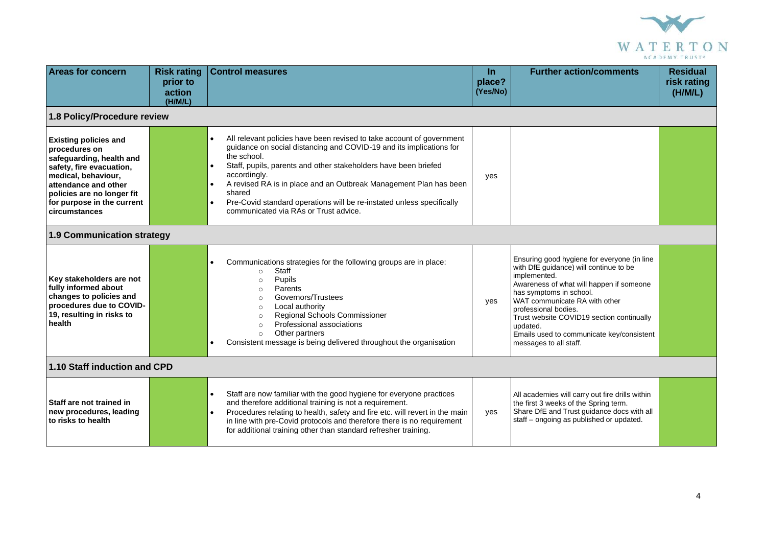

| <b>Areas for concern</b>                                                                                                                                                                                                          | <b>Risk rating</b><br>prior to<br>action<br>(H/M/L) | <b>Control measures</b>                                                                                                                                                                                                                                                                                                                                                                                                                                                                | <b>In</b><br>place?<br>(Yes/No) | <b>Further action/comments</b>                                                                                                                                                                                                                                                                                                                                        | <b>Residual</b><br>risk rating<br>(H/M/L) |  |
|-----------------------------------------------------------------------------------------------------------------------------------------------------------------------------------------------------------------------------------|-----------------------------------------------------|----------------------------------------------------------------------------------------------------------------------------------------------------------------------------------------------------------------------------------------------------------------------------------------------------------------------------------------------------------------------------------------------------------------------------------------------------------------------------------------|---------------------------------|-----------------------------------------------------------------------------------------------------------------------------------------------------------------------------------------------------------------------------------------------------------------------------------------------------------------------------------------------------------------------|-------------------------------------------|--|
| 1.8 Policy/Procedure review                                                                                                                                                                                                       |                                                     |                                                                                                                                                                                                                                                                                                                                                                                                                                                                                        |                                 |                                                                                                                                                                                                                                                                                                                                                                       |                                           |  |
| <b>Existing policies and</b><br>procedures on<br>safeguarding, health and<br>safety, fire evacuation,<br>medical, behaviour,<br>attendance and other<br>policies are no longer fit<br>for purpose in the current<br>circumstances |                                                     | All relevant policies have been revised to take account of government<br>$\bullet$<br>guidance on social distancing and COVID-19 and its implications for<br>the school.<br>Staff, pupils, parents and other stakeholders have been briefed<br>$\bullet$<br>accordingly.<br>A revised RA is in place and an Outbreak Management Plan has been<br>shared<br>Pre-Covid standard operations will be re-instated unless specifically<br>$\bullet$<br>communicated via RAs or Trust advice. | yes                             |                                                                                                                                                                                                                                                                                                                                                                       |                                           |  |
| 1.9 Communication strategy                                                                                                                                                                                                        |                                                     |                                                                                                                                                                                                                                                                                                                                                                                                                                                                                        |                                 |                                                                                                                                                                                                                                                                                                                                                                       |                                           |  |
| Key stakeholders are not<br>fully informed about<br>changes to policies and<br>procedures due to COVID-<br>19, resulting in risks to<br>health                                                                                    |                                                     | Communications strategies for the following groups are in place:<br>$\bullet$<br>Staff<br>$\circ$<br>Pupils<br>$\circ$<br>Parents<br>$\circ$<br>Governors/Trustees<br>$\circ$<br>Local authority<br>$\circ$<br>Regional Schools Commissioner<br>$\Omega$<br>Professional associations<br>$\circ$<br>Other partners<br>$\circ$<br>Consistent message is being delivered throughout the organisation                                                                                     | yes                             | Ensuring good hygiene for everyone (in line<br>with DfE guidance) will continue to be<br>implemented.<br>Awareness of what will happen if someone<br>has symptoms in school.<br>WAT communicate RA with other<br>professional bodies.<br>Trust website COVID19 section continually<br>updated.<br>Emails used to communicate key/consistent<br>messages to all staff. |                                           |  |
| 1.10 Staff induction and CPD                                                                                                                                                                                                      |                                                     |                                                                                                                                                                                                                                                                                                                                                                                                                                                                                        |                                 |                                                                                                                                                                                                                                                                                                                                                                       |                                           |  |
| Staff are not trained in<br>new procedures, leading<br>to risks to health                                                                                                                                                         |                                                     | Staff are now familiar with the good hygiene for everyone practices<br>$\bullet$<br>and therefore additional training is not a requirement.<br>Procedures relating to health, safety and fire etc. will revert in the main<br>$\bullet$<br>in line with pre-Covid protocols and therefore there is no requirement<br>for additional training other than standard refresher training.                                                                                                   | yes                             | All academies will carry out fire drills within<br>the first 3 weeks of the Spring term.<br>Share DfE and Trust guidance docs with all<br>staff - ongoing as published or updated.                                                                                                                                                                                    |                                           |  |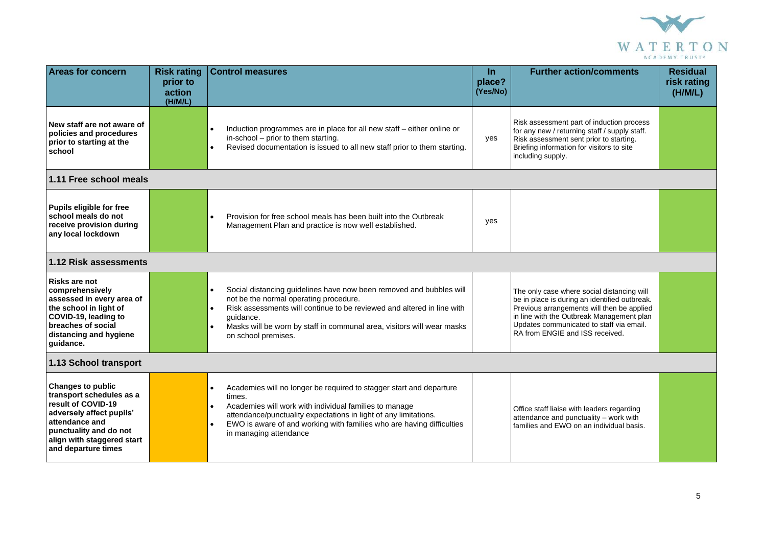

| <b>Areas for concern</b>                                                                                                                                                                                | <b>Risk rating</b><br>prior to<br>action<br>(H/M/L) | <b>Control measures</b>                                                                                                                                                                                                                                                                                                                               | $\ln$<br>place?<br>(Yes/No) | <b>Further action/comments</b>                                                                                                                                                                                                                                        | <b>Residual</b><br>risk rating<br>(H/M/L) |
|---------------------------------------------------------------------------------------------------------------------------------------------------------------------------------------------------------|-----------------------------------------------------|-------------------------------------------------------------------------------------------------------------------------------------------------------------------------------------------------------------------------------------------------------------------------------------------------------------------------------------------------------|-----------------------------|-----------------------------------------------------------------------------------------------------------------------------------------------------------------------------------------------------------------------------------------------------------------------|-------------------------------------------|
| New staff are not aware of<br>policies and procedures<br>prior to starting at the<br>school                                                                                                             |                                                     | Induction programmes are in place for all new staff – either online or<br>in-school - prior to them starting.<br>Revised documentation is issued to all new staff prior to them starting.                                                                                                                                                             | yes                         | Risk assessment part of induction process<br>for any new / returning staff / supply staff.<br>Risk assessment sent prior to starting.<br>Briefing information for visitors to site<br>including supply.                                                               |                                           |
| 1.11 Free school meals                                                                                                                                                                                  |                                                     |                                                                                                                                                                                                                                                                                                                                                       |                             |                                                                                                                                                                                                                                                                       |                                           |
| Pupils eligible for free<br>school meals do not<br>receive provision during<br>any local lockdown                                                                                                       |                                                     | Provision for free school meals has been built into the Outbreak<br>Management Plan and practice is now well established.                                                                                                                                                                                                                             | yes                         |                                                                                                                                                                                                                                                                       |                                           |
| 1.12 Risk assessments                                                                                                                                                                                   |                                                     |                                                                                                                                                                                                                                                                                                                                                       |                             |                                                                                                                                                                                                                                                                       |                                           |
| <b>Risks are not</b><br>comprehensively<br>assessed in every area of<br>the school in light of<br>COVID-19, leading to<br>breaches of social<br>distancing and hygiene<br>quidance.                     |                                                     | Social distancing guidelines have now been removed and bubbles will<br>$\bullet$<br>not be the normal operating procedure.<br>Risk assessments will continue to be reviewed and altered in line with<br>$\bullet$<br>guidance.<br>Masks will be worn by staff in communal area, visitors will wear masks<br>$\bullet$<br>on school premises.          |                             | The only case where social distancing will<br>be in place is during an identified outbreak.<br>Previous arrangements will then be applied<br>in line with the Outbreak Management plan<br>Updates communicated to staff via email.<br>RA from ENGIE and ISS received. |                                           |
| 1.13 School transport                                                                                                                                                                                   |                                                     |                                                                                                                                                                                                                                                                                                                                                       |                             |                                                                                                                                                                                                                                                                       |                                           |
| <b>Changes to public</b><br>transport schedules as a<br>result of COVID-19<br>adversely affect pupils'<br>attendance and<br>punctuality and do not<br>align with staggered start<br>and departure times |                                                     | Academies will no longer be required to stagger start and departure<br>$\bullet$<br>times.<br>Academies will work with individual families to manage<br>$\bullet$<br>attendance/punctuality expectations in light of any limitations.<br>EWO is aware of and working with families who are having difficulties<br>$\bullet$<br>in managing attendance |                             | Office staff liaise with leaders regarding<br>attendance and punctuality - work with<br>families and EWO on an individual basis.                                                                                                                                      |                                           |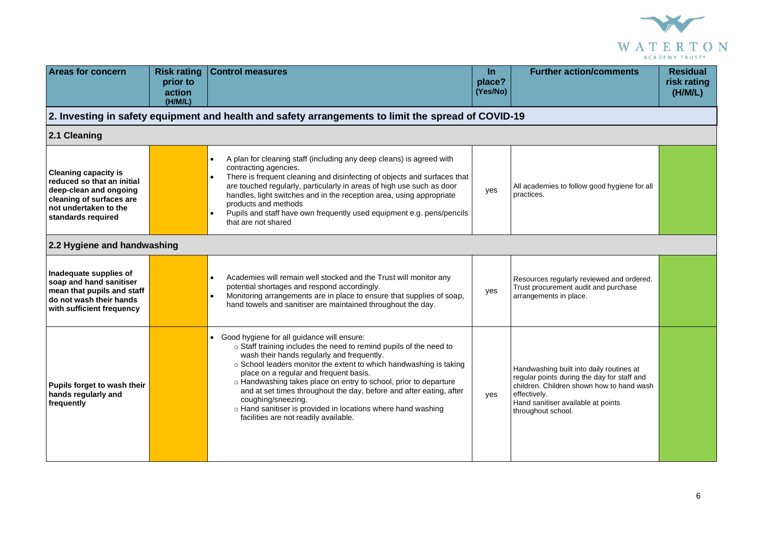

| <b>Areas for concern</b>                                                                                                                                       | <b>Risk rating</b><br>prior to<br>action<br>(H/M/L) | <b>Control measures</b>                                                                                                                                                                                                                                                                                                                                                                                                                                                                                                                                    | $\ln$<br>place?<br>(Yes/No) | <b>Further action/comments</b>                                                                                                                                                                                   | <b>Residual</b><br>risk rating<br>(H/M/L) |
|----------------------------------------------------------------------------------------------------------------------------------------------------------------|-----------------------------------------------------|------------------------------------------------------------------------------------------------------------------------------------------------------------------------------------------------------------------------------------------------------------------------------------------------------------------------------------------------------------------------------------------------------------------------------------------------------------------------------------------------------------------------------------------------------------|-----------------------------|------------------------------------------------------------------------------------------------------------------------------------------------------------------------------------------------------------------|-------------------------------------------|
|                                                                                                                                                                |                                                     | 2. Investing in safety equipment and health and safety arrangements to limit the spread of COVID-19                                                                                                                                                                                                                                                                                                                                                                                                                                                        |                             |                                                                                                                                                                                                                  |                                           |
| 2.1 Cleaning                                                                                                                                                   |                                                     |                                                                                                                                                                                                                                                                                                                                                                                                                                                                                                                                                            |                             |                                                                                                                                                                                                                  |                                           |
| <b>Cleaning capacity is</b><br>reduced so that an initial<br>deep-clean and ongoing<br>cleaning of surfaces are<br>not undertaken to the<br>standards required |                                                     | A plan for cleaning staff (including any deep cleans) is agreed with<br>contracting agencies.<br>There is frequent cleaning and disinfecting of objects and surfaces that<br>are touched regularly, particularly in areas of high use such as door<br>handles, light switches and in the reception area, using appropriate<br>products and methods<br>Pupils and staff have own frequently used equipment e.g. pens/pencils<br>$\bullet$<br>that are not shared                                                                                            | yes                         | All academies to follow good hygiene for all<br>practices.                                                                                                                                                       |                                           |
| 2.2 Hygiene and handwashing                                                                                                                                    |                                                     |                                                                                                                                                                                                                                                                                                                                                                                                                                                                                                                                                            |                             |                                                                                                                                                                                                                  |                                           |
| Inadequate supplies of<br>soap and hand sanitiser<br>mean that pupils and staff<br>do not wash their hands<br>with sufficient frequency                        |                                                     | Academies will remain well stocked and the Trust will monitor any<br>potential shortages and respond accordingly.<br>Monitoring arrangements are in place to ensure that supplies of soap,<br>$\bullet$<br>hand towels and sanitiser are maintained throughout the day.                                                                                                                                                                                                                                                                                    | yes                         | Resources regularly reviewed and ordered.<br>Trust procurement audit and purchase<br>arrangements in place.                                                                                                      |                                           |
| Pupils forget to wash their<br>hands regularly and<br>frequently                                                                                               |                                                     | • Good hygiene for all guidance will ensure:<br>o Staff training includes the need to remind pupils of the need to<br>wash their hands regularly and frequently.<br>o School leaders monitor the extent to which handwashing is taking<br>place on a regular and frequent basis.<br>o Handwashing takes place on entry to school, prior to departure<br>and at set times throughout the day, before and after eating, after<br>coughing/sneezing.<br>o Hand sanitiser is provided in locations where hand washing<br>facilities are not readily available. | yes                         | Handwashing built into daily routines at<br>regular points during the day for staff and<br>children. Children shown how to hand wash<br>effectively.<br>Hand sanitiser available at points<br>throughout school. |                                           |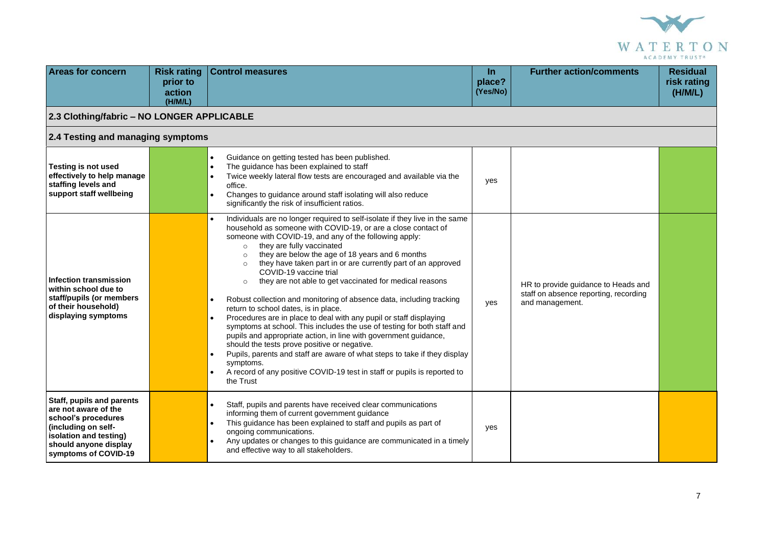

| <b>Areas for concern</b>                                                                                                                                                          | <b>Risk rating</b><br>prior to<br>action<br>(H/M/L) | <b>Control measures</b>                                                                                                                                                                                                                                                                                                                                                                                                                                                                                                                                                                                                                                                                                                                                                                                                                                                                                                                                                                                                                                                                                                          | <b>In</b><br>place?<br>(Yes/No) | <b>Further action/comments</b>                                                                  | <b>Residual</b><br>risk rating<br>(H/M/L) |  |
|-----------------------------------------------------------------------------------------------------------------------------------------------------------------------------------|-----------------------------------------------------|----------------------------------------------------------------------------------------------------------------------------------------------------------------------------------------------------------------------------------------------------------------------------------------------------------------------------------------------------------------------------------------------------------------------------------------------------------------------------------------------------------------------------------------------------------------------------------------------------------------------------------------------------------------------------------------------------------------------------------------------------------------------------------------------------------------------------------------------------------------------------------------------------------------------------------------------------------------------------------------------------------------------------------------------------------------------------------------------------------------------------------|---------------------------------|-------------------------------------------------------------------------------------------------|-------------------------------------------|--|
| 2.3 Clothing/fabric - NO LONGER APPLICABLE                                                                                                                                        |                                                     |                                                                                                                                                                                                                                                                                                                                                                                                                                                                                                                                                                                                                                                                                                                                                                                                                                                                                                                                                                                                                                                                                                                                  |                                 |                                                                                                 |                                           |  |
| 2.4 Testing and managing symptoms                                                                                                                                                 |                                                     |                                                                                                                                                                                                                                                                                                                                                                                                                                                                                                                                                                                                                                                                                                                                                                                                                                                                                                                                                                                                                                                                                                                                  |                                 |                                                                                                 |                                           |  |
| <b>Testing is not used</b><br>effectively to help manage<br>staffing levels and<br>support staff wellbeing                                                                        |                                                     | Guidance on getting tested has been published.<br>$\bullet$<br>The guidance has been explained to staff<br>$\bullet$<br>Twice weekly lateral flow tests are encouraged and available via the<br>$\bullet$<br>office.<br>Changes to guidance around staff isolating will also reduce<br>$\bullet$<br>significantly the risk of insufficient ratios.                                                                                                                                                                                                                                                                                                                                                                                                                                                                                                                                                                                                                                                                                                                                                                               | yes                             |                                                                                                 |                                           |  |
| Infection transmission<br>within school due to<br>staff/pupils (or members<br>of their household)<br>displaying symptoms                                                          |                                                     | Individuals are no longer required to self-isolate if they live in the same<br>$\bullet$<br>household as someone with COVID-19, or are a close contact of<br>someone with COVID-19, and any of the following apply:<br>they are fully vaccinated<br>$\circ$<br>they are below the age of 18 years and 6 months<br>$\circ$<br>they have taken part in or are currently part of an approved<br>$\circ$<br>COVID-19 vaccine trial<br>they are not able to get vaccinated for medical reasons<br>$\circ$<br>Robust collection and monitoring of absence data, including tracking<br>$\bullet$<br>return to school dates, is in place.<br>Procedures are in place to deal with any pupil or staff displaying<br>$\bullet$<br>symptoms at school. This includes the use of testing for both staff and<br>pupils and appropriate action, in line with government guidance,<br>should the tests prove positive or negative.<br>Pupils, parents and staff are aware of what steps to take if they display<br>$\bullet$<br>symptoms.<br>A record of any positive COVID-19 test in staff or pupils is reported to<br>$\bullet$<br>the Trust | yes                             | HR to provide guidance to Heads and<br>staff on absence reporting, recording<br>and management. |                                           |  |
| <b>Staff, pupils and parents</b><br>are not aware of the<br>school's procedures<br>(including on self-<br>isolation and testing)<br>should anyone display<br>symptoms of COVID-19 |                                                     | Staff, pupils and parents have received clear communications<br>$\bullet$<br>informing them of current government guidance<br>This guidance has been explained to staff and pupils as part of<br>$\bullet$<br>ongoing communications.<br>Any updates or changes to this guidance are communicated in a timely<br>$\bullet$<br>and effective way to all stakeholders.                                                                                                                                                                                                                                                                                                                                                                                                                                                                                                                                                                                                                                                                                                                                                             | yes                             |                                                                                                 |                                           |  |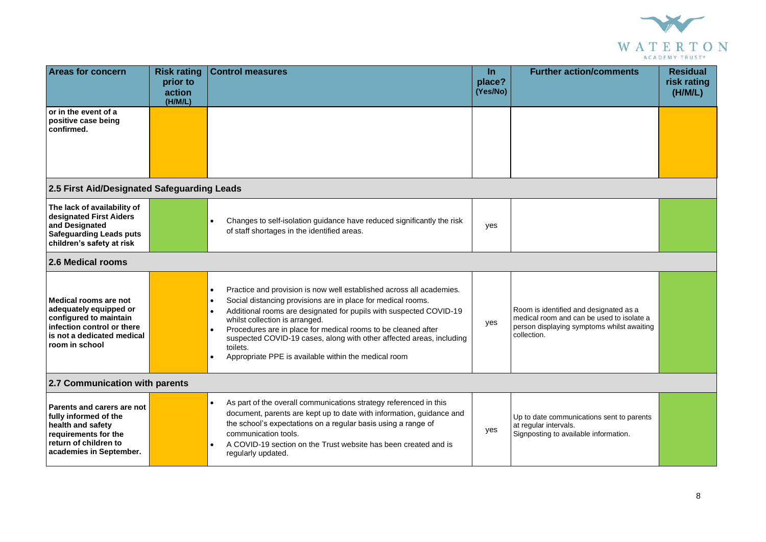

| <b>Areas for concern</b>                                                                                                                                | <b>Risk rating</b><br>prior to<br>action<br>(H/M/L) | <b>Control measures</b>                                                                                                                                                                                                                                                                                                                                                                                                                                                                                       | In.<br>place?<br>(Yes/No) | <b>Further action/comments</b>                                                                                                                   | <b>Residual</b><br>risk rating<br>(H/M/L) |
|---------------------------------------------------------------------------------------------------------------------------------------------------------|-----------------------------------------------------|---------------------------------------------------------------------------------------------------------------------------------------------------------------------------------------------------------------------------------------------------------------------------------------------------------------------------------------------------------------------------------------------------------------------------------------------------------------------------------------------------------------|---------------------------|--------------------------------------------------------------------------------------------------------------------------------------------------|-------------------------------------------|
| or in the event of a<br>positive case being<br>confirmed.                                                                                               |                                                     |                                                                                                                                                                                                                                                                                                                                                                                                                                                                                                               |                           |                                                                                                                                                  |                                           |
| 2.5 First Aid/Designated Safeguarding Leads                                                                                                             |                                                     |                                                                                                                                                                                                                                                                                                                                                                                                                                                                                                               |                           |                                                                                                                                                  |                                           |
| The lack of availability of<br>designated First Aiders<br>and Designated<br><b>Safeguarding Leads puts</b><br>children's safety at risk                 |                                                     | Changes to self-isolation guidance have reduced significantly the risk<br>of staff shortages in the identified areas.                                                                                                                                                                                                                                                                                                                                                                                         | yes                       |                                                                                                                                                  |                                           |
| 2.6 Medical rooms                                                                                                                                       |                                                     |                                                                                                                                                                                                                                                                                                                                                                                                                                                                                                               |                           |                                                                                                                                                  |                                           |
| Medical rooms are not<br>adequately equipped or<br>configured to maintain<br>infection control or there<br>is not a dedicated medical<br>room in school |                                                     | Practice and provision is now well established across all academies.<br>$\bullet$<br>Social distancing provisions are in place for medical rooms.<br>$\bullet$<br>Additional rooms are designated for pupils with suspected COVID-19<br>$\bullet$<br>whilst collection is arranged.<br>Procedures are in place for medical rooms to be cleaned after<br>suspected COVID-19 cases, along with other affected areas, including<br>toilets.<br>Appropriate PPE is available within the medical room<br>$\bullet$ | yes                       | Room is identified and designated as a<br>medical room and can be used to isolate a<br>person displaying symptoms whilst awaiting<br>collection. |                                           |
| 2.7 Communication with parents                                                                                                                          |                                                     |                                                                                                                                                                                                                                                                                                                                                                                                                                                                                                               |                           |                                                                                                                                                  |                                           |
| Parents and carers are not<br>fully informed of the<br>health and safety<br>requirements for the<br>return of children to<br>academies in September.    |                                                     | As part of the overall communications strategy referenced in this<br>$\bullet$<br>document, parents are kept up to date with information, guidance and<br>the school's expectations on a regular basis using a range of<br>communication tools.<br>A COVID-19 section on the Trust website has been created and is<br>regularly updated.                                                                                                                                                                      | yes                       | Up to date communications sent to parents<br>at regular intervals.<br>Signposting to available information.                                      |                                           |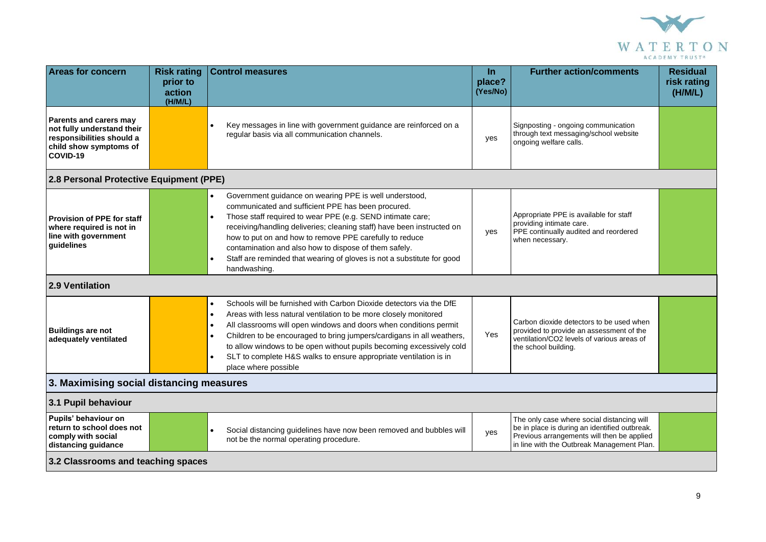

| <b>Areas for concern</b>                                                                                                | <b>Risk rating</b><br>prior to<br>action | <b>Control measures</b>                                                                                                                                                                                                                                                                                                                                                                                                                                                                                                     | In.<br>place?<br>(Yes/No) | <b>Further action/comments</b>                                                                                                                                                          | <b>Residual</b><br>risk rating<br>(H/M/L) |  |
|-------------------------------------------------------------------------------------------------------------------------|------------------------------------------|-----------------------------------------------------------------------------------------------------------------------------------------------------------------------------------------------------------------------------------------------------------------------------------------------------------------------------------------------------------------------------------------------------------------------------------------------------------------------------------------------------------------------------|---------------------------|-----------------------------------------------------------------------------------------------------------------------------------------------------------------------------------------|-------------------------------------------|--|
| Parents and carers may<br>not fully understand their<br>responsibilities should a<br>child show symptoms of<br>COVID-19 | (H/M/L)                                  | Key messages in line with government guidance are reinforced on a<br>$\bullet$<br>regular basis via all communication channels.                                                                                                                                                                                                                                                                                                                                                                                             | yes                       | Signposting - ongoing communication<br>through text messaging/school website<br>ongoing welfare calls.                                                                                  |                                           |  |
| 2.8 Personal Protective Equipment (PPE)                                                                                 |                                          |                                                                                                                                                                                                                                                                                                                                                                                                                                                                                                                             |                           |                                                                                                                                                                                         |                                           |  |
| <b>Provision of PPE for staff</b><br>where required is not in<br>line with government<br>guidelines                     |                                          | Government guidance on wearing PPE is well understood,<br>communicated and sufficient PPE has been procured.<br>Those staff required to wear PPE (e.g. SEND intimate care;<br>$\bullet$<br>receiving/handling deliveries; cleaning staff) have been instructed on<br>how to put on and how to remove PPE carefully to reduce<br>contamination and also how to dispose of them safely.<br>Staff are reminded that wearing of gloves is not a substitute for good<br>$\bullet$<br>handwashing.                                | yes                       | Appropriate PPE is available for staff<br>providing intimate care.<br>PPE continually audited and reordered<br>when necessary.                                                          |                                           |  |
| 2.9 Ventilation                                                                                                         |                                          |                                                                                                                                                                                                                                                                                                                                                                                                                                                                                                                             |                           |                                                                                                                                                                                         |                                           |  |
| <b>Buildings are not</b><br>adequately ventilated                                                                       |                                          | Schools will be furnished with Carbon Dioxide detectors via the DfE<br>$\bullet$<br>Areas with less natural ventilation to be more closely monitored<br>$\bullet$<br>All classrooms will open windows and doors when conditions permit<br>$\bullet$<br>Children to be encouraged to bring jumpers/cardigans in all weathers,<br>$\bullet$<br>to allow windows to be open without pupils becoming excessively cold<br>SLT to complete H&S walks to ensure appropriate ventilation is in<br>$\bullet$<br>place where possible | Yes                       | Carbon dioxide detectors to be used when<br>provided to provide an assessment of the<br>ventilation/CO2 levels of various areas of<br>the school building.                              |                                           |  |
| 3. Maximising social distancing measures                                                                                |                                          |                                                                                                                                                                                                                                                                                                                                                                                                                                                                                                                             |                           |                                                                                                                                                                                         |                                           |  |
| 3.1 Pupil behaviour                                                                                                     |                                          |                                                                                                                                                                                                                                                                                                                                                                                                                                                                                                                             |                           |                                                                                                                                                                                         |                                           |  |
| Pupils' behaviour on<br>return to school does not<br>comply with social<br>distancing guidance                          |                                          | Social distancing guidelines have now been removed and bubbles will<br>not be the normal operating procedure.                                                                                                                                                                                                                                                                                                                                                                                                               | yes                       | The only case where social distancing will<br>be in place is during an identified outbreak.<br>Previous arrangements will then be applied<br>in line with the Outbreak Management Plan. |                                           |  |
| 3.2 Classrooms and teaching spaces                                                                                      |                                          |                                                                                                                                                                                                                                                                                                                                                                                                                                                                                                                             |                           |                                                                                                                                                                                         |                                           |  |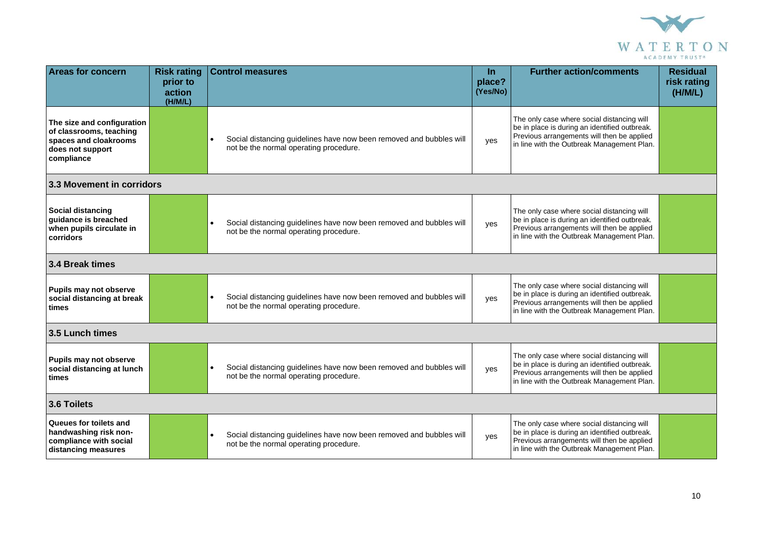

| <b>Areas for concern</b>                                                                                         | <b>Risk rating</b><br>prior to<br>action<br>(H/M/L) | <b>Control measures</b>                                                                                                    | <b>In</b><br>place?<br>(Yes/No) | <b>Further action/comments</b>                                                                                                                                                          | <b>Residual</b><br>risk rating<br>(H/M/L) |
|------------------------------------------------------------------------------------------------------------------|-----------------------------------------------------|----------------------------------------------------------------------------------------------------------------------------|---------------------------------|-----------------------------------------------------------------------------------------------------------------------------------------------------------------------------------------|-------------------------------------------|
| The size and configuration<br>of classrooms, teaching<br>spaces and cloakrooms<br>does not support<br>compliance |                                                     | Social distancing guidelines have now been removed and bubbles will<br>not be the normal operating procedure.              | yes                             | The only case where social distancing will<br>be in place is during an identified outbreak.<br>Previous arrangements will then be applied<br>in line with the Outbreak Management Plan. |                                           |
| 3.3 Movement in corridors                                                                                        |                                                     |                                                                                                                            |                                 |                                                                                                                                                                                         |                                           |
| <b>Social distancing</b><br>guidance is breached<br>when pupils circulate in<br>corridors                        |                                                     | Social distancing guidelines have now been removed and bubbles will<br>not be the normal operating procedure.              | yes                             | The only case where social distancing will<br>be in place is during an identified outbreak.<br>Previous arrangements will then be applied<br>in line with the Outbreak Management Plan. |                                           |
| 3.4 Break times                                                                                                  |                                                     |                                                                                                                            |                                 |                                                                                                                                                                                         |                                           |
| Pupils may not observe<br>social distancing at break<br>times                                                    |                                                     | Social distancing guidelines have now been removed and bubbles will<br>not be the normal operating procedure.              | yes                             | The only case where social distancing will<br>be in place is during an identified outbreak.<br>Previous arrangements will then be applied<br>in line with the Outbreak Management Plan. |                                           |
| 3.5 Lunch times                                                                                                  |                                                     |                                                                                                                            |                                 |                                                                                                                                                                                         |                                           |
| Pupils may not observe<br>social distancing at lunch<br>times                                                    |                                                     | Social distancing guidelines have now been removed and bubbles will<br>not be the normal operating procedure.              | yes                             | The only case where social distancing will<br>be in place is during an identified outbreak.<br>Previous arrangements will then be applied<br>in line with the Outbreak Management Plan. |                                           |
| 3.6 Toilets                                                                                                      |                                                     |                                                                                                                            |                                 |                                                                                                                                                                                         |                                           |
| Queues for toilets and<br>handwashing risk non-<br>compliance with social<br>distancing measures                 |                                                     | Social distancing guidelines have now been removed and bubbles will<br>$\bullet$<br>not be the normal operating procedure. | yes                             | The only case where social distancing will<br>be in place is during an identified outbreak.<br>Previous arrangements will then be applied<br>in line with the Outbreak Management Plan. |                                           |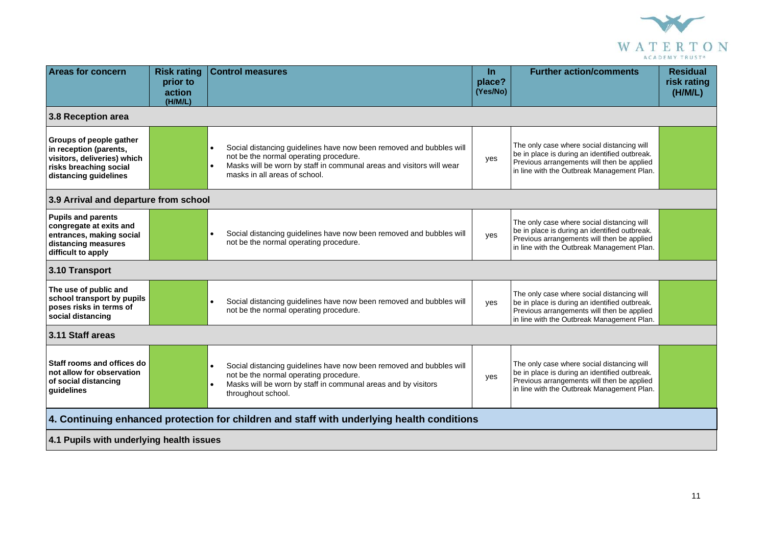

| <b>Areas for concern</b>                                                                                                            | <b>Risk rating</b><br>prior to<br>action<br>(H/M/L) | <b>Control measures</b>                                                                                                                                                                                                                          | <u>In</u><br>place?<br>(Yes/No) | <b>Further action/comments</b>                                                                                                                                                          | <b>Residual</b><br>risk rating<br>(H/M/L) |  |  |  |
|-------------------------------------------------------------------------------------------------------------------------------------|-----------------------------------------------------|--------------------------------------------------------------------------------------------------------------------------------------------------------------------------------------------------------------------------------------------------|---------------------------------|-----------------------------------------------------------------------------------------------------------------------------------------------------------------------------------------|-------------------------------------------|--|--|--|
| 3.8 Reception area                                                                                                                  |                                                     |                                                                                                                                                                                                                                                  |                                 |                                                                                                                                                                                         |                                           |  |  |  |
| Groups of people gather<br>in reception (parents,<br>visitors, deliveries) which<br>risks breaching social<br>distancing guidelines |                                                     | Social distancing guidelines have now been removed and bubbles will<br>$\bullet$<br>not be the normal operating procedure.<br>Masks will be worn by staff in communal areas and visitors will wear<br>$\bullet$<br>masks in all areas of school. | yes                             | The only case where social distancing will<br>be in place is during an identified outbreak.<br>Previous arrangements will then be applied<br>in line with the Outbreak Management Plan. |                                           |  |  |  |
| 3.9 Arrival and departure from school                                                                                               |                                                     |                                                                                                                                                                                                                                                  |                                 |                                                                                                                                                                                         |                                           |  |  |  |
| <b>Pupils and parents</b><br>congregate at exits and<br>entrances, making social<br>distancing measures<br>difficult to apply       |                                                     | Social distancing guidelines have now been removed and bubbles will<br>not be the normal operating procedure.                                                                                                                                    | yes                             | The only case where social distancing will<br>be in place is during an identified outbreak.<br>Previous arrangements will then be applied<br>in line with the Outbreak Management Plan. |                                           |  |  |  |
| 3.10 Transport                                                                                                                      |                                                     |                                                                                                                                                                                                                                                  |                                 |                                                                                                                                                                                         |                                           |  |  |  |
| The use of public and<br>school transport by pupils<br>poses risks in terms of<br>social distancing                                 |                                                     | Social distancing guidelines have now been removed and bubbles will<br>not be the normal operating procedure.                                                                                                                                    | yes                             | The only case where social distancing will<br>be in place is during an identified outbreak.<br>Previous arrangements will then be applied<br>in line with the Outbreak Management Plan. |                                           |  |  |  |
| 3.11 Staff areas                                                                                                                    |                                                     |                                                                                                                                                                                                                                                  |                                 |                                                                                                                                                                                         |                                           |  |  |  |
| Staff rooms and offices do<br>not allow for observation<br>of social distancing<br>guidelines                                       |                                                     | Social distancing guidelines have now been removed and bubbles will<br>$\bullet$<br>not be the normal operating procedure.<br>Masks will be worn by staff in communal areas and by visitors<br>$\bullet$<br>throughout school.                   | yes                             | The only case where social distancing will<br>be in place is during an identified outbreak.<br>Previous arrangements will then be applied<br>in line with the Outbreak Management Plan. |                                           |  |  |  |
| 4. Continuing enhanced protection for children and staff with underlying health conditions                                          |                                                     |                                                                                                                                                                                                                                                  |                                 |                                                                                                                                                                                         |                                           |  |  |  |
| 4.1 Pupils with underlying health issues                                                                                            |                                                     |                                                                                                                                                                                                                                                  |                                 |                                                                                                                                                                                         |                                           |  |  |  |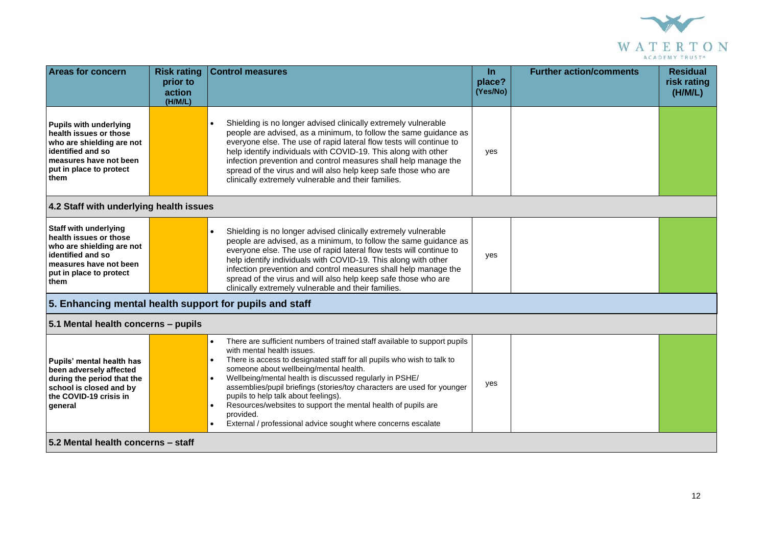

| <b>Areas for concern</b>                                                                                                                                               | <b>Risk rating</b><br>prior to<br>action<br>(H/M/L) | <b>Control measures</b>                                                                                                                                                                                                                                                                                                                                                                                                                                                                                                                                                                                      | In.<br>place?<br>(Yes/No) | <b>Further action/comments</b> | <b>Residual</b><br>risk rating<br>(H/M/L) |  |  |
|------------------------------------------------------------------------------------------------------------------------------------------------------------------------|-----------------------------------------------------|--------------------------------------------------------------------------------------------------------------------------------------------------------------------------------------------------------------------------------------------------------------------------------------------------------------------------------------------------------------------------------------------------------------------------------------------------------------------------------------------------------------------------------------------------------------------------------------------------------------|---------------------------|--------------------------------|-------------------------------------------|--|--|
| <b>Pupils with underlying</b><br>health issues or those<br>who are shielding are not<br>identified and so<br>measures have not been<br>put in place to protect<br>them |                                                     | Shielding is no longer advised clinically extremely vulnerable<br>$\bullet$<br>people are advised, as a minimum, to follow the same guidance as<br>everyone else. The use of rapid lateral flow tests will continue to<br>help identify individuals with COVID-19. This along with other<br>infection prevention and control measures shall help manage the<br>spread of the virus and will also help keep safe those who are<br>clinically extremely vulnerable and their families.                                                                                                                         | yes                       |                                |                                           |  |  |
|                                                                                                                                                                        | 4.2 Staff with underlying health issues             |                                                                                                                                                                                                                                                                                                                                                                                                                                                                                                                                                                                                              |                           |                                |                                           |  |  |
| <b>Staff with underlying</b><br>health issues or those<br>who are shielding are not<br>identified and so<br>measures have not been<br>put in place to protect<br>them  |                                                     | Shielding is no longer advised clinically extremely vulnerable<br>people are advised, as a minimum, to follow the same guidance as<br>everyone else. The use of rapid lateral flow tests will continue to<br>help identify individuals with COVID-19. This along with other<br>infection prevention and control measures shall help manage the<br>spread of the virus and will also help keep safe those who are<br>clinically extremely vulnerable and their families.                                                                                                                                      | yes                       |                                |                                           |  |  |
| 5. Enhancing mental health support for pupils and staff                                                                                                                |                                                     |                                                                                                                                                                                                                                                                                                                                                                                                                                                                                                                                                                                                              |                           |                                |                                           |  |  |
| 5.1 Mental health concerns - pupils                                                                                                                                    |                                                     |                                                                                                                                                                                                                                                                                                                                                                                                                                                                                                                                                                                                              |                           |                                |                                           |  |  |
| Pupils' mental health has<br>been adversely affected<br>during the period that the<br>school is closed and by<br>the COVID-19 crisis in<br>general                     |                                                     | There are sufficient numbers of trained staff available to support pupils<br>$\bullet$<br>with mental health issues.<br>There is access to designated staff for all pupils who wish to talk to<br>$\bullet$<br>someone about wellbeing/mental health.<br>Wellbeing/mental health is discussed regularly in PSHE/<br>$\bullet$<br>assemblies/pupil briefings (stories/toy characters are used for younger<br>pupils to help talk about feelings).<br>Resources/websites to support the mental health of pupils are<br>provided.<br>External / professional advice sought where concerns escalate<br>$\bullet$ | yes                       |                                |                                           |  |  |
| 5.2 Mental health concerns - staff                                                                                                                                     |                                                     |                                                                                                                                                                                                                                                                                                                                                                                                                                                                                                                                                                                                              |                           |                                |                                           |  |  |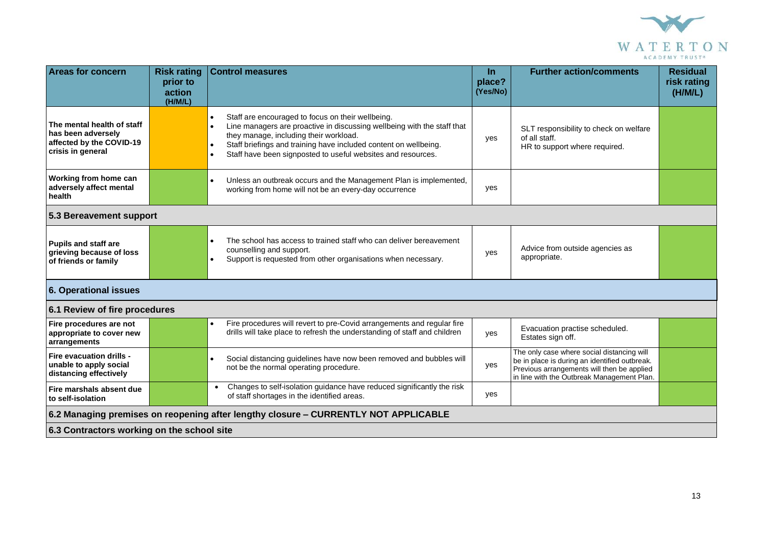

| <b>Areas for concern</b>                                                                          | <b>Risk rating</b><br>prior to | <b>Control measures</b>                                                                                                                                                                                                                                                                                                                                        | $\ln$<br>place? | <b>Further action/comments</b>                                                                                                                                                          | <b>Residual</b><br>risk rating |  |
|---------------------------------------------------------------------------------------------------|--------------------------------|----------------------------------------------------------------------------------------------------------------------------------------------------------------------------------------------------------------------------------------------------------------------------------------------------------------------------------------------------------------|-----------------|-----------------------------------------------------------------------------------------------------------------------------------------------------------------------------------------|--------------------------------|--|
|                                                                                                   | action<br>(H/M/L)              |                                                                                                                                                                                                                                                                                                                                                                | (Yes/No)        |                                                                                                                                                                                         | (H/M/L)                        |  |
| The mental health of staff<br>has been adversely<br>affected by the COVID-19<br>crisis in general |                                | Staff are encouraged to focus on their wellbeing.<br>$\bullet$<br>Line managers are proactive in discussing wellbeing with the staff that<br>$\bullet$<br>they manage, including their workload.<br>Staff briefings and training have included content on wellbeing.<br>$\bullet$<br>Staff have been signposted to useful websites and resources.<br>$\bullet$ | yes             | SLT responsibility to check on welfare<br>of all staff.<br>HR to support where required.                                                                                                |                                |  |
| Working from home can<br>adversely affect mental<br>health                                        |                                | Unless an outbreak occurs and the Management Plan is implemented,<br>$\bullet$<br>working from home will not be an every-day occurrence                                                                                                                                                                                                                        | yes             |                                                                                                                                                                                         |                                |  |
| 5.3 Bereavement support                                                                           |                                |                                                                                                                                                                                                                                                                                                                                                                |                 |                                                                                                                                                                                         |                                |  |
| <b>Pupils and staff are</b><br>grieving because of loss<br>of friends or family                   |                                | The school has access to trained staff who can deliver bereavement<br>$\bullet$<br>counselling and support.<br>Support is requested from other organisations when necessary.<br>$\bullet$                                                                                                                                                                      | yes             | Advice from outside agencies as<br>appropriate.                                                                                                                                         |                                |  |
| <b>6. Operational issues</b>                                                                      |                                |                                                                                                                                                                                                                                                                                                                                                                |                 |                                                                                                                                                                                         |                                |  |
| 6.1 Review of fire procedures                                                                     |                                |                                                                                                                                                                                                                                                                                                                                                                |                 |                                                                                                                                                                                         |                                |  |
| Fire procedures are not<br>appropriate to cover new<br>arrangements                               |                                | Fire procedures will revert to pre-Covid arrangements and regular fire<br>$\bullet$<br>drills will take place to refresh the understanding of staff and children                                                                                                                                                                                               | ves             | Evacuation practise scheduled.<br>Estates sign off.                                                                                                                                     |                                |  |
| Fire evacuation drills -<br>unable to apply social<br>distancing effectively                      |                                | Social distancing guidelines have now been removed and bubbles will<br>$\bullet$<br>not be the normal operating procedure.                                                                                                                                                                                                                                     | yes             | The only case where social distancing will<br>be in place is during an identified outbreak.<br>Previous arrangements will then be applied<br>in line with the Outbreak Management Plan. |                                |  |
| Fire marshals absent due<br>to self-isolation                                                     |                                | Changes to self-isolation guidance have reduced significantly the risk<br>$\bullet$<br>of staff shortages in the identified areas.                                                                                                                                                                                                                             | yes             |                                                                                                                                                                                         |                                |  |
| 6.2 Managing premises on reopening after lengthy closure - CURRENTLY NOT APPLICABLE               |                                |                                                                                                                                                                                                                                                                                                                                                                |                 |                                                                                                                                                                                         |                                |  |
| 6.3 Contractors working on the school site                                                        |                                |                                                                                                                                                                                                                                                                                                                                                                |                 |                                                                                                                                                                                         |                                |  |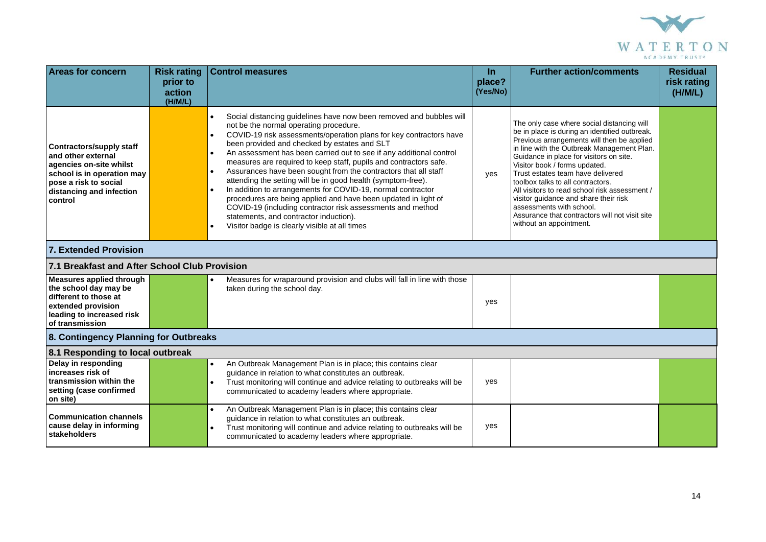

| <b>Areas for concern</b>                                                                                                                                                       | <b>Risk rating</b><br>prior to<br>action<br>(H/M/L) | <b>Control measures</b>                                                                                                                                                                                                                                                                                                                                                                                                                                                                                                                                                                                                                                                                                                                                                                                                                                                                    | <b>In</b><br>place?<br>(Yes/No) | <b>Further action/comments</b>                                                                                                                                                                                                                                                                                                                                                                                                                                                                                                                   | <b>Residual</b><br>risk rating<br>(H/M/L) |  |
|--------------------------------------------------------------------------------------------------------------------------------------------------------------------------------|-----------------------------------------------------|--------------------------------------------------------------------------------------------------------------------------------------------------------------------------------------------------------------------------------------------------------------------------------------------------------------------------------------------------------------------------------------------------------------------------------------------------------------------------------------------------------------------------------------------------------------------------------------------------------------------------------------------------------------------------------------------------------------------------------------------------------------------------------------------------------------------------------------------------------------------------------------------|---------------------------------|--------------------------------------------------------------------------------------------------------------------------------------------------------------------------------------------------------------------------------------------------------------------------------------------------------------------------------------------------------------------------------------------------------------------------------------------------------------------------------------------------------------------------------------------------|-------------------------------------------|--|
| <b>Contractors/supply staff</b><br>and other external<br>agencies on-site whilst<br>school is in operation may<br>pose a risk to social<br>distancing and infection<br>control |                                                     | Social distancing guidelines have now been removed and bubbles will<br>$\bullet$<br>not be the normal operating procedure.<br>COVID-19 risk assessments/operation plans for key contractors have<br>$\bullet$<br>been provided and checked by estates and SLT<br>An assessment has been carried out to see if any additional control<br>$\bullet$<br>measures are required to keep staff, pupils and contractors safe.<br>Assurances have been sought from the contractors that all staff<br>$\bullet$<br>attending the setting will be in good health (symptom-free).<br>In addition to arrangements for COVID-19, normal contractor<br>$\bullet$<br>procedures are being applied and have been updated in light of<br>COVID-19 (including contractor risk assessments and method<br>statements, and contractor induction).<br>Visitor badge is clearly visible at all times<br>$\bullet$ | yes                             | The only case where social distancing will<br>be in place is during an identified outbreak.<br>Previous arrangements will then be applied<br>in line with the Outbreak Management Plan.<br>Guidance in place for visitors on site.<br>Visitor book / forms updated.<br>Trust estates team have delivered<br>toolbox talks to all contractors.<br>All visitors to read school risk assessment /<br>visitor guidance and share their risk<br>assessments with school.<br>Assurance that contractors will not visit site<br>without an appointment. |                                           |  |
| 7. Extended Provision                                                                                                                                                          |                                                     |                                                                                                                                                                                                                                                                                                                                                                                                                                                                                                                                                                                                                                                                                                                                                                                                                                                                                            |                                 |                                                                                                                                                                                                                                                                                                                                                                                                                                                                                                                                                  |                                           |  |
| 7.1 Breakfast and After School Club Provision                                                                                                                                  |                                                     |                                                                                                                                                                                                                                                                                                                                                                                                                                                                                                                                                                                                                                                                                                                                                                                                                                                                                            |                                 |                                                                                                                                                                                                                                                                                                                                                                                                                                                                                                                                                  |                                           |  |
| <b>Measures applied through</b><br>the school day may be<br>different to those at<br>extended provision<br>leading to increased risk<br>of transmission                        |                                                     | Measures for wraparound provision and clubs will fall in line with those<br>taken during the school day.                                                                                                                                                                                                                                                                                                                                                                                                                                                                                                                                                                                                                                                                                                                                                                                   | yes                             |                                                                                                                                                                                                                                                                                                                                                                                                                                                                                                                                                  |                                           |  |
| 8. Contingency Planning for Outbreaks                                                                                                                                          |                                                     |                                                                                                                                                                                                                                                                                                                                                                                                                                                                                                                                                                                                                                                                                                                                                                                                                                                                                            |                                 |                                                                                                                                                                                                                                                                                                                                                                                                                                                                                                                                                  |                                           |  |
| 8.1 Responding to local outbreak                                                                                                                                               |                                                     |                                                                                                                                                                                                                                                                                                                                                                                                                                                                                                                                                                                                                                                                                                                                                                                                                                                                                            |                                 |                                                                                                                                                                                                                                                                                                                                                                                                                                                                                                                                                  |                                           |  |
| Delay in responding<br>increases risk of<br>transmission within the<br>setting (case confirmed<br>on site)                                                                     |                                                     | An Outbreak Management Plan is in place; this contains clear<br>$\bullet$<br>guidance in relation to what constitutes an outbreak.<br>Trust monitoring will continue and advice relating to outbreaks will be<br>communicated to academy leaders where appropriate.                                                                                                                                                                                                                                                                                                                                                                                                                                                                                                                                                                                                                        | yes                             |                                                                                                                                                                                                                                                                                                                                                                                                                                                                                                                                                  |                                           |  |
| <b>Communication channels</b><br>cause delay in informing<br>stakeholders                                                                                                      |                                                     | An Outbreak Management Plan is in place; this contains clear<br>quidance in relation to what constitutes an outbreak.<br>Trust monitoring will continue and advice relating to outbreaks will be<br>communicated to academy leaders where appropriate.                                                                                                                                                                                                                                                                                                                                                                                                                                                                                                                                                                                                                                     | yes                             |                                                                                                                                                                                                                                                                                                                                                                                                                                                                                                                                                  |                                           |  |